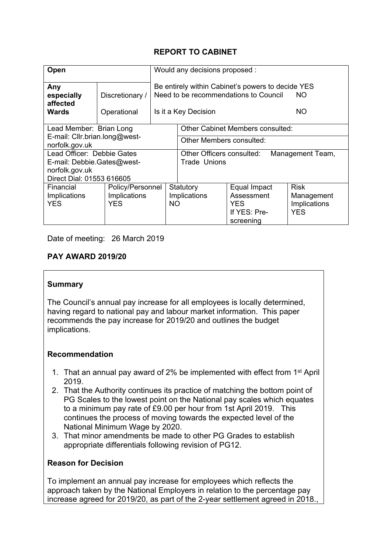# **REPORT TO CABINET**

| Open                                            |                                | Would any decisions proposed :                                                                                                 |                                               |                           |              |
|-------------------------------------------------|--------------------------------|--------------------------------------------------------------------------------------------------------------------------------|-----------------------------------------------|---------------------------|--------------|
| Any<br>especially<br>affected<br>Wards          | Discretionary /<br>Operational | Be entirely within Cabinet's powers to decide YES<br>Need to be recommendations to Council<br>ΝO<br>ΝO<br>Is it a Key Decision |                                               |                           |              |
| Lead Member: Brian Long                         |                                | <b>Other Cabinet Members consulted:</b>                                                                                        |                                               |                           |              |
| E-mail: Cllr.brian.long@west-<br>norfolk.gov.uk |                                |                                                                                                                                | Other Members consulted:                      |                           |              |
| Lead Officer: Debbie Gates                      |                                |                                                                                                                                | Other Officers consulted:<br>Management Team, |                           |              |
| E-mail: Debbie.Gates@west-<br>norfolk.gov.uk    |                                |                                                                                                                                | <b>Trade Unions</b>                           |                           |              |
| Direct Dial: 01553 616605                       |                                |                                                                                                                                |                                               |                           |              |
| Financial                                       | Policy/Personnel               | Statutory                                                                                                                      |                                               | Equal Impact              | <b>Risk</b>  |
| Implications                                    | Implications                   | Implications                                                                                                                   |                                               | Assessment                | Management   |
| <b>YES</b>                                      | <b>YES</b>                     | NO.                                                                                                                            |                                               | <b>YES</b>                | Implications |
|                                                 |                                |                                                                                                                                |                                               | If YES: Pre-<br>screening | <b>YES</b>   |

Date of meeting: 26 March 2019

#### **PAY AWARD 2019/20**

#### **Summary**

The Council's annual pay increase for all employees is locally determined, having regard to national pay and labour market information. This paper recommends the pay increase for 2019/20 and outlines the budget implications.

#### **Recommendation**

- 1. That an annual pay award of 2% be implemented with effect from 1<sup>st</sup> April 2019.
- 2. That the Authority continues its practice of matching the bottom point of PG Scales to the lowest point on the National pay scales which equates to a minimum pay rate of £9.00 per hour from 1st April 2019. This continues the process of moving towards the expected level of the National Minimum Wage by 2020.
- 3. That minor amendments be made to other PG Grades to establish appropriate differentials following revision of PG12.

#### **Reason for Decision**

To implement an annual pay increase for employees which reflects the approach taken by the National Employers in relation to the percentage pay increase agreed for 2019/20, as part of the 2-year settlement agreed in 2018.,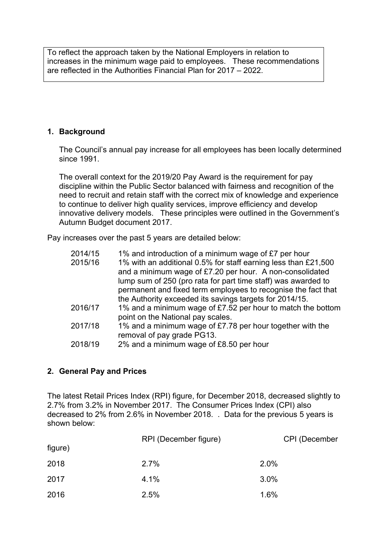To reflect the approach taken by the National Employers in relation to increases in the minimum wage paid to employees. These recommendations are reflected in the Authorities Financial Plan for 2017 – 2022.

## **1. Background**

The Council's annual pay increase for all employees has been locally determined since 1991.

The overall context for the 2019/20 Pay Award is the requirement for pay discipline within the Public Sector balanced with fairness and recognition of the need to recruit and retain staff with the correct mix of knowledge and experience to continue to deliver high quality services, improve efficiency and develop innovative delivery models. These principles were outlined in the Government's Autumn Budget document 2017.

Pay increases over the past 5 years are detailed below:

| 1% and introduction of a minimum wage of £7 per hour           |
|----------------------------------------------------------------|
| 1% with an additional 0.5% for staff earning less than £21,500 |
| and a minimum wage of £7.20 per hour. A non-consolidated       |
| lump sum of 250 (pro rata for part time staff) was awarded to  |
| permanent and fixed term employees to recognise the fact that  |
| the Authority exceeded its savings targets for 2014/15.        |
| 1% and a minimum wage of £7.52 per hour to match the bottom    |
| point on the National pay scales.                              |
| 1% and a minimum wage of £7.78 per hour together with the      |
| removal of pay grade PG13.                                     |
| 2% and a minimum wage of £8.50 per hour                        |
|                                                                |

## **2. General Pay and Prices**

The latest Retail Prices Index (RPI) figure, for December 2018, decreased slightly to 2.7% from 3.2% in November 2017. The Consumer Prices Index (CPI) also decreased to 2% from 2.6% in November 2018. . Data for the previous 5 years is shown below:

|         | RPI (December figure) | <b>CPI (December</b> |
|---------|-----------------------|----------------------|
| figure) |                       |                      |
| 2018    | 2.7%                  | 2.0%                 |
| 2017    | 4.1%                  | 3.0%                 |
| 2016    | 2.5%                  | 1.6%                 |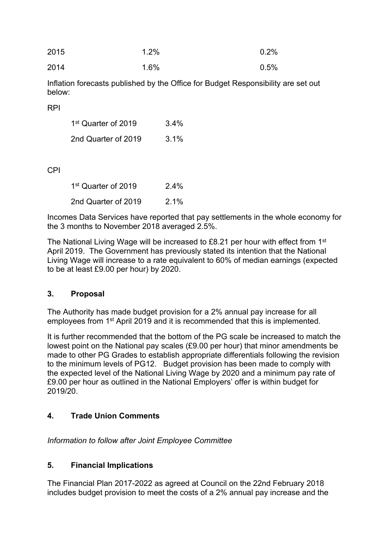| 2015 | $1.2\%$ | $0.2\%$ |
|------|---------|---------|
| 2014 | $1.6\%$ | 0.5%    |

Inflation forecasts published by the Office for Budget Responsibility are set out below:

RPI

| 1 <sup>st</sup> Quarter of 2019 | $3.4\%$ |
|---------------------------------|---------|
| 2nd Quarter of 2019             | 3.1%    |

# CPI

| 1 <sup>st</sup> Quarter of 2019 | $2.4\%$ |
|---------------------------------|---------|
| 2nd Quarter of 2019             | 2.1%    |

Incomes Data Services have reported that pay settlements in the whole economy for the 3 months to November 2018 averaged 2.5%.

The National Living Wage will be increased to £8.21 per hour with effect from 1<sup>st</sup> April 2019. The Government has previously stated its intention that the National Living Wage will increase to a rate equivalent to 60% of median earnings (expected to be at least £9.00 per hour) by 2020.

## **3. Proposal**

The Authority has made budget provision for a 2% annual pay increase for all employees from 1<sup>st</sup> April 2019 and it is recommended that this is implemented.

It is further recommended that the bottom of the PG scale be increased to match the lowest point on the National pay scales (£9.00 per hour) that minor amendments be made to other PG Grades to establish appropriate differentials following the revision to the minimum levels of PG12. Budget provision has been made to comply with the expected level of the National Living Wage by 2020 and a minimum pay rate of £9.00 per hour as outlined in the National Employers' offer is within budget for 2019/20.

# **4. Trade Union Comments**

*Information to follow after Joint Employee Committee*

# **5. Financial Implications**

The Financial Plan 2017-2022 as agreed at Council on the 22nd February 2018 includes budget provision to meet the costs of a 2% annual pay increase and the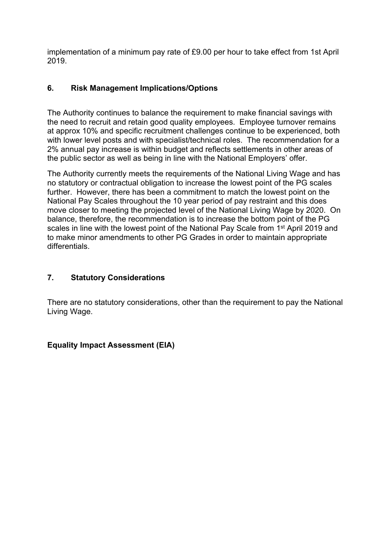implementation of a minimum pay rate of £9.00 per hour to take effect from 1st April 2019.

# **6. Risk Management Implications/Options**

The Authority continues to balance the requirement to make financial savings with the need to recruit and retain good quality employees. Employee turnover remains at approx 10% and specific recruitment challenges continue to be experienced, both with lower level posts and with specialist/technical roles. The recommendation for a 2% annual pay increase is within budget and reflects settlements in other areas of the public sector as well as being in line with the National Employers' offer.

The Authority currently meets the requirements of the National Living Wage and has no statutory or contractual obligation to increase the lowest point of the PG scales further. However, there has been a commitment to match the lowest point on the National Pay Scales throughout the 10 year period of pay restraint and this does move closer to meeting the projected level of the National Living Wage by 2020. On balance, therefore, the recommendation is to increase the bottom point of the PG scales in line with the lowest point of the National Pay Scale from 1<sup>st</sup> April 2019 and to make minor amendments to other PG Grades in order to maintain appropriate differentials.

## **7. Statutory Considerations**

There are no statutory considerations, other than the requirement to pay the National Living Wage.

## **Equality Impact Assessment (EIA)**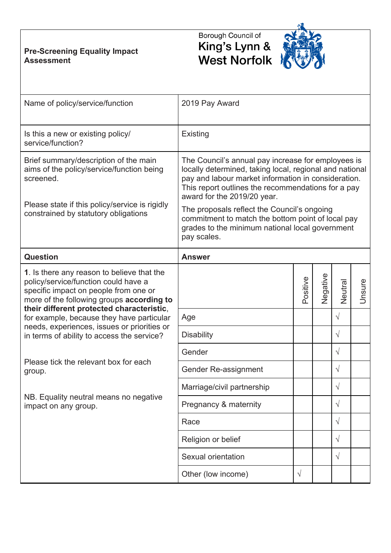# **Pre-Screening Equality Impact Assessment**

# Borough Council of King's Lynn &<br>West Norfolk



| Name of policy/service/function                                                                                                                                          | 2019 Pay Award                                                                                                                                                                                                                                            |           |          |            |        |
|--------------------------------------------------------------------------------------------------------------------------------------------------------------------------|-----------------------------------------------------------------------------------------------------------------------------------------------------------------------------------------------------------------------------------------------------------|-----------|----------|------------|--------|
| Is this a new or existing policy/<br>service/function?                                                                                                                   | <b>Existing</b>                                                                                                                                                                                                                                           |           |          |            |        |
| Brief summary/description of the main<br>aims of the policy/service/function being<br>screened.                                                                          | The Council's annual pay increase for employees is<br>locally determined, taking local, regional and national<br>pay and labour market information in consideration.<br>This report outlines the recommendations for a pay<br>award for the 2019/20 year. |           |          |            |        |
| Please state if this policy/service is rigidly<br>constrained by statutory obligations                                                                                   | The proposals reflect the Council's ongoing<br>commitment to match the bottom point of local pay<br>grades to the minimum national local government<br>pay scales.                                                                                        |           |          |            |        |
| <b>Question</b>                                                                                                                                                          | <b>Answer</b>                                                                                                                                                                                                                                             |           |          |            |        |
| 1. Is there any reason to believe that the<br>policy/service/function could have a<br>specific impact on people from one or<br>more of the following groups according to |                                                                                                                                                                                                                                                           | Positive  | Negative | Neutral    | Unsure |
| their different protected characteristic,<br>for example, because they have particular                                                                                   | Age                                                                                                                                                                                                                                                       |           |          | $\sqrt{ }$ |        |
| needs, experiences, issues or priorities or<br>in terms of ability to access the service?                                                                                | <b>Disability</b>                                                                                                                                                                                                                                         |           |          | $\sqrt{}$  |        |
|                                                                                                                                                                          | Gender                                                                                                                                                                                                                                                    |           |          | $\sqrt{ }$ |        |
| Please tick the relevant box for each<br>group.                                                                                                                          | Gender Re-assignment                                                                                                                                                                                                                                      |           |          | $\sqrt{ }$ |        |
|                                                                                                                                                                          | Marriage/civil partnership                                                                                                                                                                                                                                |           |          | $\sqrt{}$  |        |
| NB. Equality neutral means no negative<br>impact on any group.                                                                                                           | Pregnancy & maternity                                                                                                                                                                                                                                     |           |          | $\sqrt{ }$ |        |
|                                                                                                                                                                          | Race                                                                                                                                                                                                                                                      |           |          | $\sqrt{ }$ |        |
|                                                                                                                                                                          | Religion or belief                                                                                                                                                                                                                                        |           |          | $\sqrt{ }$ |        |
|                                                                                                                                                                          | Sexual orientation                                                                                                                                                                                                                                        |           |          | $\sqrt{ }$ |        |
|                                                                                                                                                                          | Other (low income)                                                                                                                                                                                                                                        | $\sqrt{}$ |          |            |        |